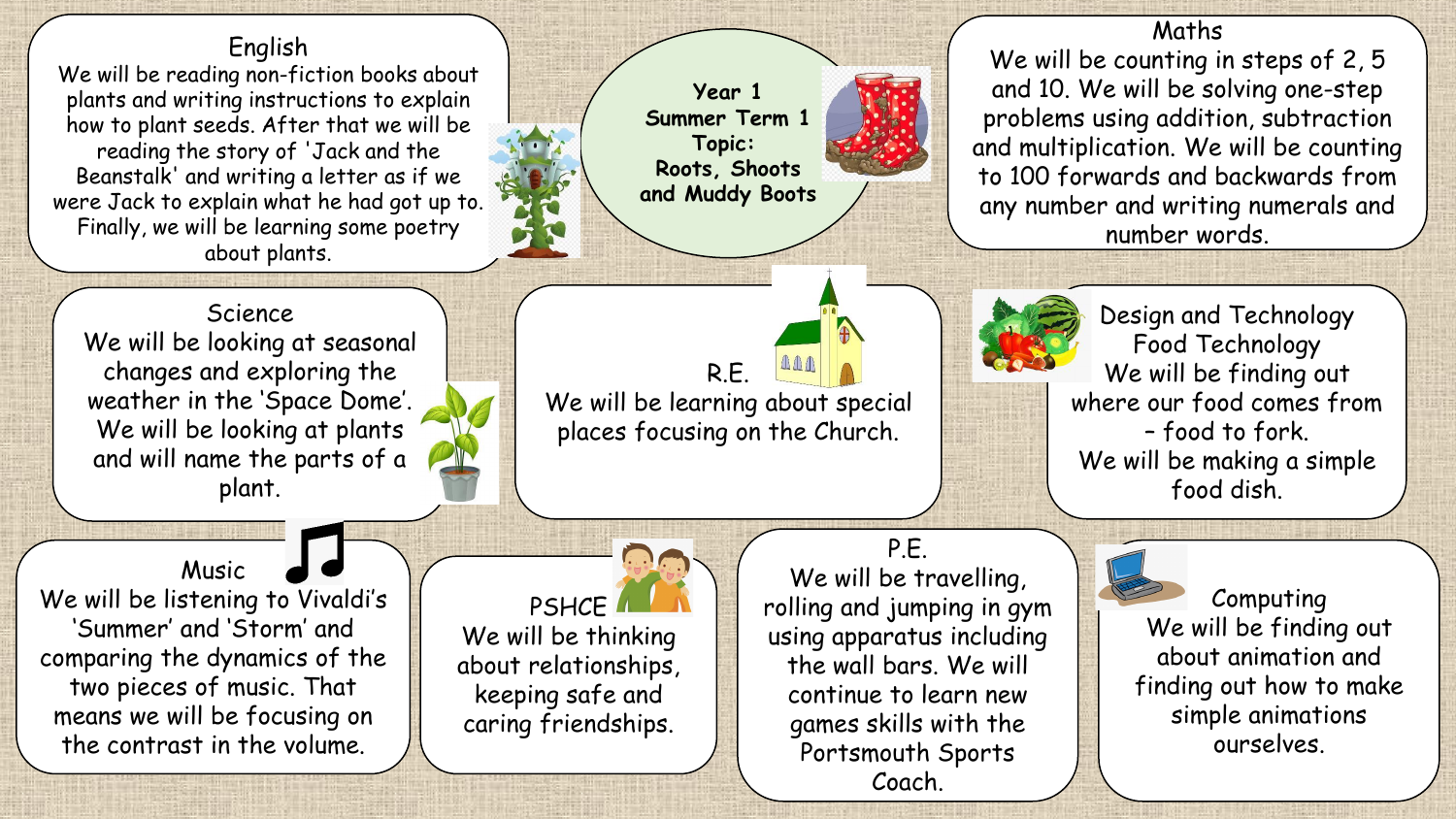## English

We will be reading non-fiction books about plants and writing instructions to explain how to plant seeds. After that we will be reading the story of 'Jack and the Beanstalk' and writing a letter as if we were Jack to explain what he had got up to. Finally, we will be learning some poetry about plants.

**Year 1 Summer Term 1 Topic: Roots, Shoots and Muddy Boots**

Maths We will be counting in steps of 2, 5 and 10. We will be solving one-step problems using addition, subtraction and multiplication. We will be counting to 100 forwards and backwards from any number and writing numerals and number words.

**Science** We will be looking at seasonal changes and exploring the weather in the 'Space Dome'. We will be looking at plants and will name the parts of a plant.

R.E. We will be learning about special places focusing on the Church.



Design and Technology Food Technology We will be finding out where our food comes from – food to fork. We will be making a simple food dish.

Music We will be listening to Vivaldi's 'Summer' and 'Storm' and comparing the dynamics of the two pieces of music. That means we will be focusing on the contrast in the volume.

PSHCE<sup>I</sup> We will be thinking about relationships, keeping safe and caring friendships.

## P.E.

We will be travelling, rolling and jumping in gym using apparatus including the wall bars. We will continue to learn new games skills with the Portsmouth Sports Coach.



Computing We will be finding out about animation and finding out how to make simple animations ourselves.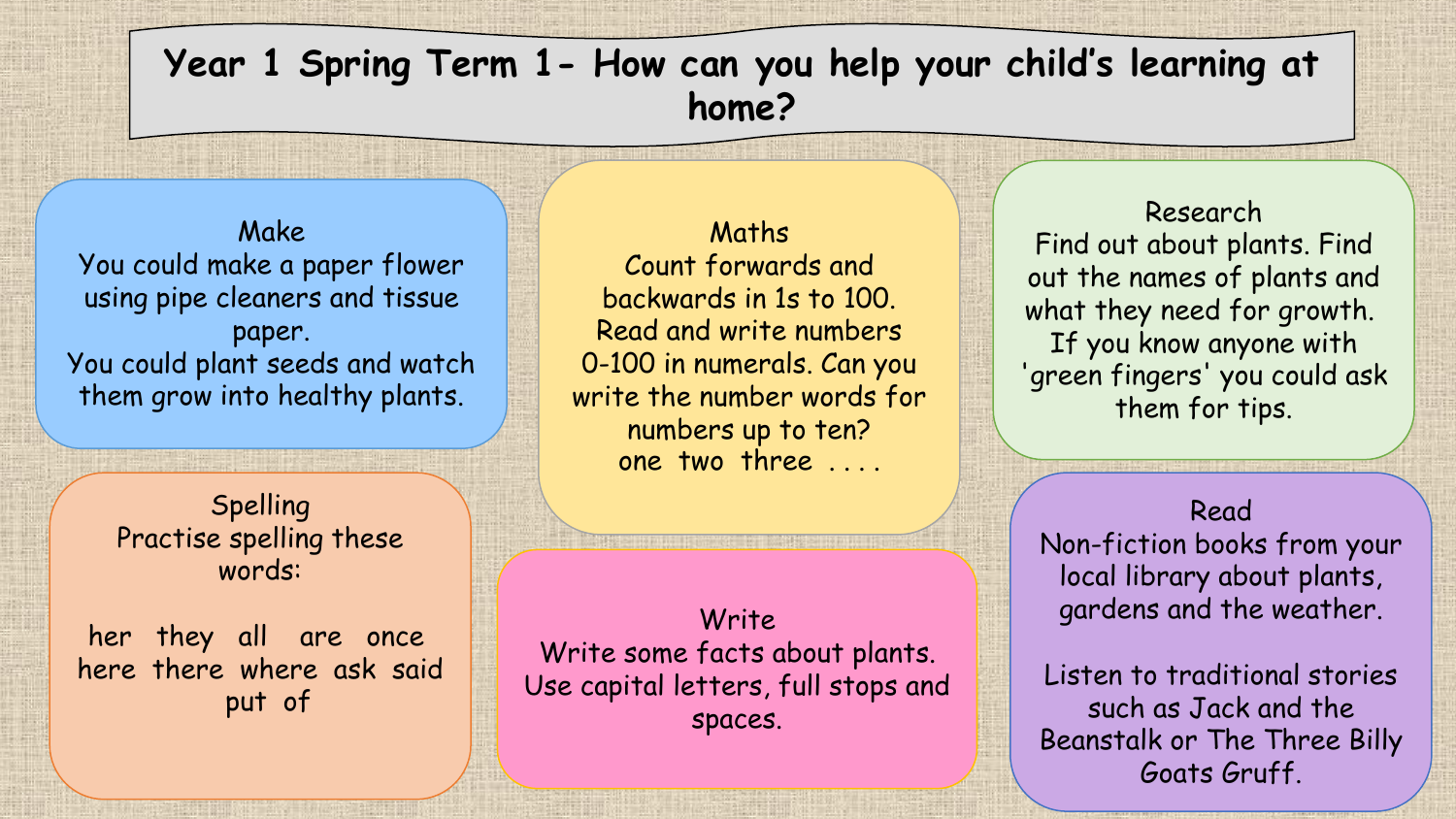## **Year 1 Spring Term 1- How can you help your child's learning at home?**

Make You could make a paper flower using pipe cleaners and tissue paper. You could plant seeds and watch them grow into healthy plants.

> Spelling Practise spelling these words:

her they all are once here there where ask said put of

Maths Count forwards and backwards in 1s to 100. Read and write numbers 0-100 in numerals. Can you write the number words for numbers up to ten? one two three . . . .

Write Write some facts about plants. Use capital letters, full stops and spaces.

Research Find out about plants. Find out the names of plants and what they need for growth. If you know anyone with 'green fingers' you could ask them for tips.

Read Non-fiction books from your local library about plants, gardens and the weather.

Listen to traditional stories such as Jack and the Beanstalk or The Three Billy Goats Gruff.